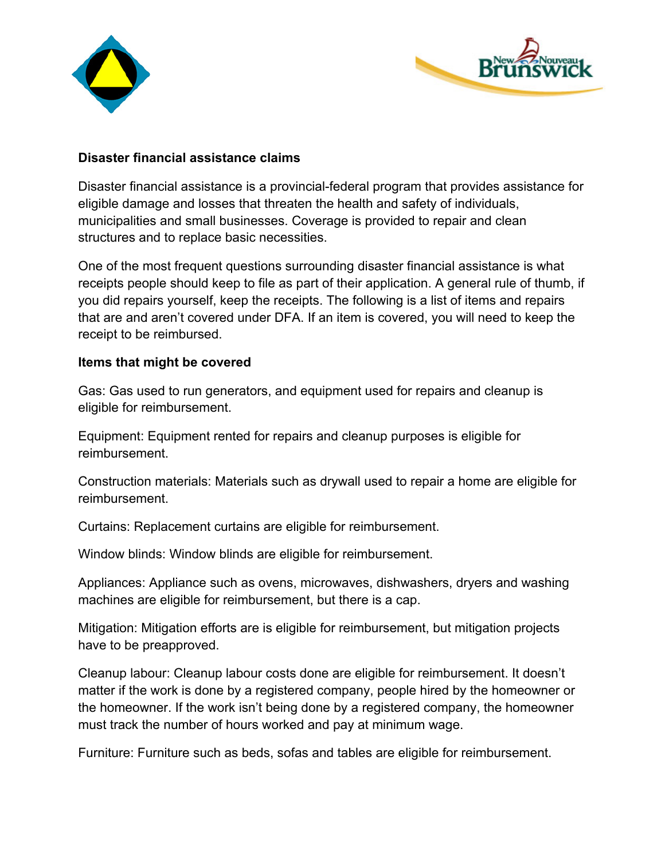



## **Disaster financial assistance claims**

Disaster financial assistance is a provincial-federal program that provides assistance for eligible damage and losses that threaten the health and safety of individuals, municipalities and small businesses. Coverage is provided to repair and clean structures and to replace basic necessities.

One of the most frequent questions surrounding disaster financial assistance is what receipts people should keep to file as part of their application. A general rule of thumb, if you did repairs yourself, keep the receipts. The following is a list of items and repairs that are and aren't covered under DFA. If an item is covered, you will need to keep the receipt to be reimbursed.

## **Items that might be covered**

Gas: Gas used to run generators, and equipment used for repairs and cleanup is eligible for reimbursement.

Equipment: Equipment rented for repairs and cleanup purposes is eligible for reimbursement.

Construction materials: Materials such as drywall used to repair a home are eligible for reimbursement.

Curtains: Replacement curtains are eligible for reimbursement.

Window blinds: Window blinds are eligible for reimbursement.

Appliances: Appliance such as ovens, microwaves, dishwashers, dryers and washing machines are eligible for reimbursement, but there is a cap.

Mitigation: Mitigation efforts are is eligible for reimbursement, but mitigation projects have to be preapproved.

Cleanup labour: Cleanup labour costs done are eligible for reimbursement. It doesn't matter if the work is done by a registered company, people hired by the homeowner or the homeowner. If the work isn't being done by a registered company, the homeowner must track the number of hours worked and pay at minimum wage.

Furniture: Furniture such as beds, sofas and tables are eligible for reimbursement.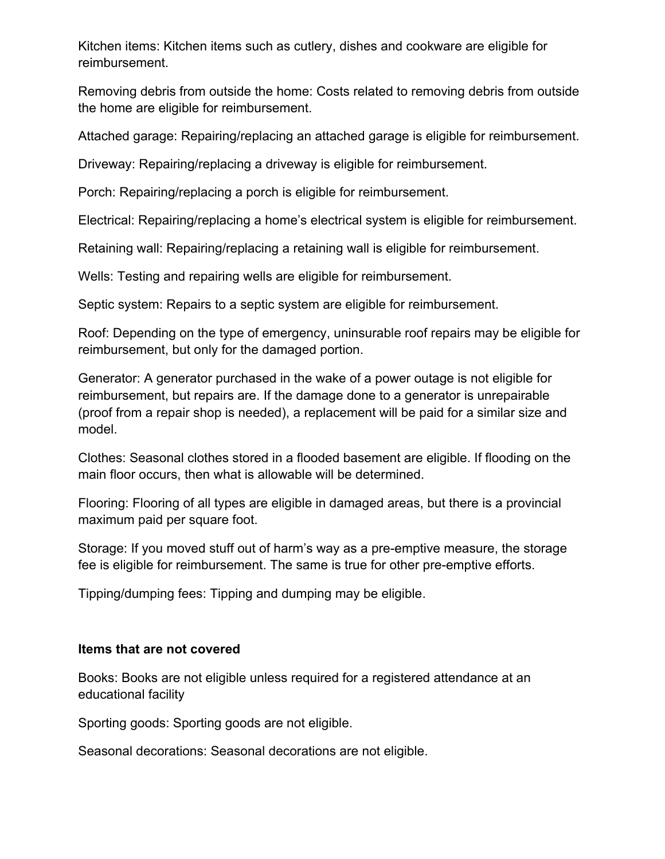Kitchen items: Kitchen items such as cutlery, dishes and cookware are eligible for reimbursement.

Removing debris from outside the home: Costs related to removing debris from outside the home are eligible for reimbursement.

Attached garage: Repairing/replacing an attached garage is eligible for reimbursement.

Driveway: Repairing/replacing a driveway is eligible for reimbursement.

Porch: Repairing/replacing a porch is eligible for reimbursement.

Electrical: Repairing/replacing a home's electrical system is eligible for reimbursement.

Retaining wall: Repairing/replacing a retaining wall is eligible for reimbursement.

Wells: Testing and repairing wells are eligible for reimbursement.

Septic system: Repairs to a septic system are eligible for reimbursement.

Roof: Depending on the type of emergency, uninsurable roof repairs may be eligible for reimbursement, but only for the damaged portion.

Generator: A generator purchased in the wake of a power outage is not eligible for reimbursement, but repairs are. If the damage done to a generator is unrepairable (proof from a repair shop is needed), a replacement will be paid for a similar size and model.

Clothes: Seasonal clothes stored in a flooded basement are eligible. If flooding on the main floor occurs, then what is allowable will be determined.

Flooring: Flooring of all types are eligible in damaged areas, but there is a provincial maximum paid per square foot.

Storage: If you moved stuff out of harm's way as a pre-emptive measure, the storage fee is eligible for reimbursement. The same is true for other pre-emptive efforts.

Tipping/dumping fees: Tipping and dumping may be eligible.

## **Items that are not covered**

Books: Books are not eligible unless required for a registered attendance at an educational facility

Sporting goods: Sporting goods are not eligible.

Seasonal decorations: Seasonal decorations are not eligible.